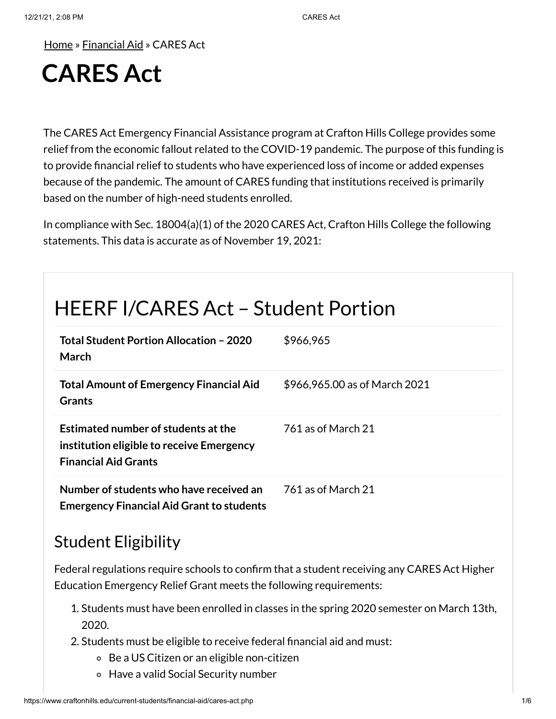[Home](https://www.craftonhills.edu/index.php) » [Financial](https://www.craftonhills.edu/current-students/financial-aid/index.php) Aid » CARES Act

# **CARES Act**

The CARES Act Emergency Financial Assistance program at Crafton Hills College provides some relief from the economic fallout related to the COVID-19 pandemic. The purpose of this funding is to provide financial relief to students who have experienced loss of income or added expenses because of the pandemic. The amount of CARES funding that institutions received is primarily based on the number of high-need students enrolled.

In compliance with Sec. 18004(a)(1) of the 2020 CARES Act, Crafton Hills College the following statements. This data is accurate as of November 19, 2021:

## HEERF I/CARES Act – Student Portion

| Total Student Portion Allocation - 2020<br>March                                                                | \$966,965                     |
|-----------------------------------------------------------------------------------------------------------------|-------------------------------|
| <b>Total Amount of Emergency Financial Aid</b><br><b>Grants</b>                                                 | \$966,965.00 as of March 2021 |
| Estimated number of students at the<br>institution eligible to receive Emergency<br><b>Financial Aid Grants</b> | 761 as of March 21            |
| Number of students who have received an<br><b>Emergency Financial Aid Grant to students</b>                     | 761 as of March 21            |

### Student Eligibility

Federal regulations require schools to confirm that a student receiving any CARES Act Higher Education Emergency Relief Grant meets the following requirements:

- 1. Students must have been enrolled in classes in the spring 2020 semester on March 13th, 2020.
- 2. Students must be eligible to receive federal financial aid and must:
	- Be a US Citizen or an eligible non-citizen
	- Have a valid Social Security number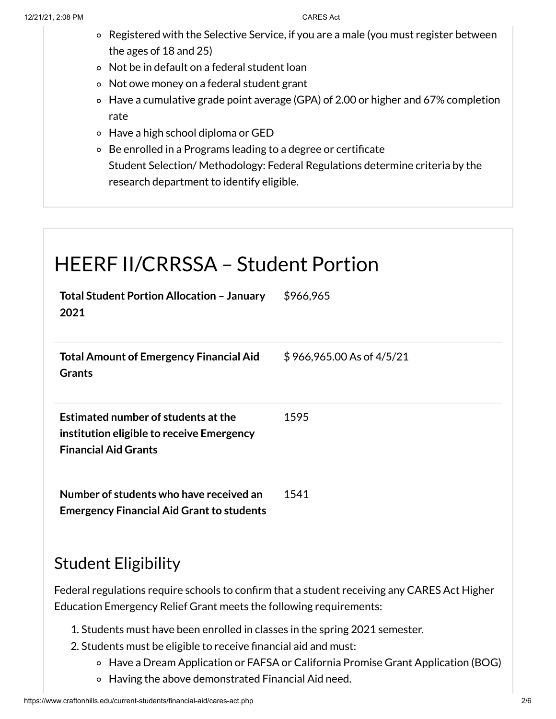- Registered with the Selective Service, if you are a male (you must register between the ages of 18 and 25)
- Not be in default on a federal student loan
- Not owe money on a federal student grant
- Have a cumulative grade point average (GPA) of 2.00 or higher and 67% completion rate
- Have a high school diploma or GED
- Be enrolled in a Programs leading to a degree or certificate Student Selection/ Methodology: Federal Regulations determine criteria by the research department to identify eligible.

### HEERF II/CRRSSA – Student Portion **Total Student Portion Allocation – January 2021** \$966,965 **Total Amount of Emergency Financial Aid Grants** \$ 966,965.00 As of 4/5/21 **Estimated number of students atthe institution eligible to receive Emergency Financial Aid Grants** 1595 **Number of students who have received an Emergency Financial Aid Grant to students** 1541

#### Student Eligibility

Federal regulations require schools to confirm that a student receiving any CARES Act Higher Education Emergency Relief Grant meets the following requirements:

- 1. Students must have been enrolled in classes in the spring 2021 semester.
- 2. Students must be eligible to receive financial aid and must:
	- Have a Dream Application or FAFSA or California Promise Grant Application (BOG)
	- Having the above demonstrated Financial Aid need.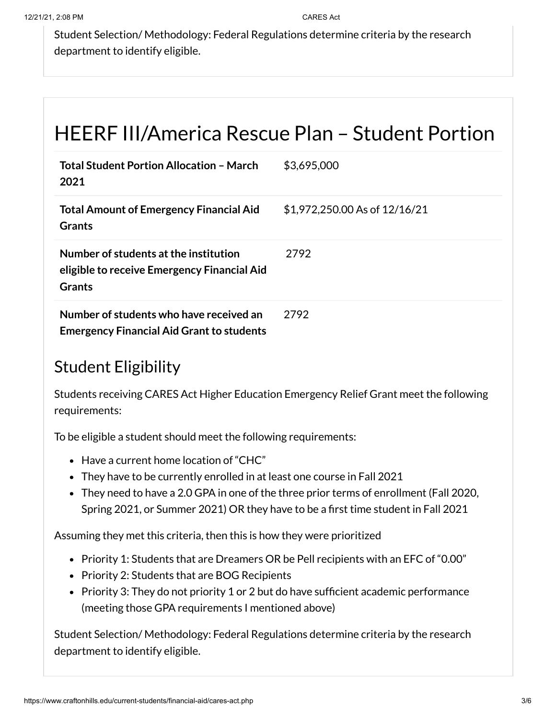Student Selection/ Methodology: Federal Regulations determine criteria by the research department to identify eligible.

## HEERF III/America Rescue Plan – Student Portion

| <b>Total Student Portion Allocation - March</b><br>2021                                        | \$3,695,000                   |
|------------------------------------------------------------------------------------------------|-------------------------------|
| <b>Total Amount of Emergency Financial Aid</b><br><b>Grants</b>                                | \$1,972,250.00 As of 12/16/21 |
| Number of students at the institution<br>eligible to receive Emergency Financial Aid<br>Grants | 2792                          |
| Number of students who have received an<br><b>Emergency Financial Aid Grant to students</b>    | 2792                          |

### Student Eligibility

Students receiving CARES Act Higher Education Emergency Relief Grant meet the following requirements:

To be eligible a student should meet the following requirements:

- Have a current home location of "CHC"
- They have to be currently enrolled in at least one course in Fall 2021
- They need to have a 2.0 GPA in one of the three prior terms of enrollment (Fall 2020, Spring 2021, or Summer 2021) OR they have to be a first time student in Fall 2021

Assuming they met this criteria, then this is how they were prioritized

- Priority 1: Students that are Dreamers OR be Pell recipients with an EFC of "0.00"
- Priority 2: Students that are BOG Recipients
- Priority 3: They do not priority 1 or 2 but do have sufficient academic performance (meeting those GPA requirements I mentioned above)

Student Selection/ Methodology: Federal Regulations determine criteria by the research department to identify eligible.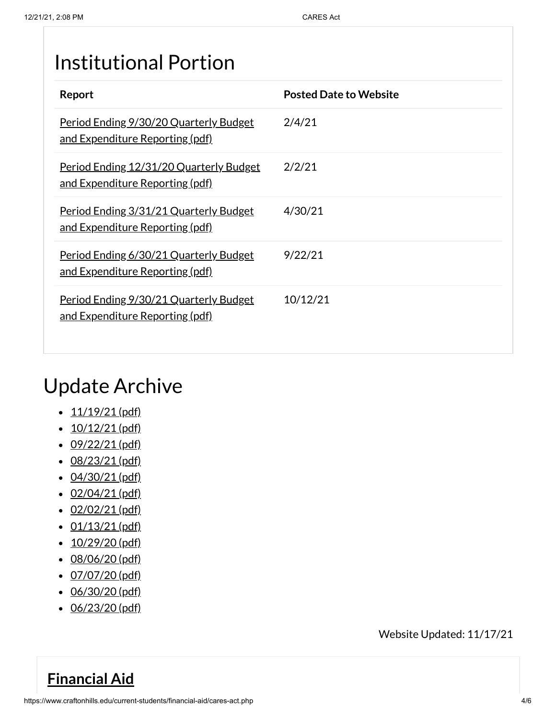## Institutional Portion

| Report                                                                                   | <b>Posted Date to Website</b> |
|------------------------------------------------------------------------------------------|-------------------------------|
| Period Ending 9/30/20 Quarterly Budget<br><u>and Expenditure Reporting (pdf)</u>         | 2/4/21                        |
| <u>Period Ending 12/31/20 Quarterly Budget</u><br><u>and Expenditure Reporting (pdf)</u> | 2/2/21                        |
| <u>Period Ending 3/31/21 Quarterly Budget</u><br><u>and Expenditure Reporting (pdf)</u>  | 4/30/21                       |
| Period Ending 6/30/21 Quarterly Budget<br><u>and Expenditure Reporting (pdf)</u>         | 9/22/21                       |
| Period Ending 9/30/21 Quarterly Budget<br><u>and Expenditure Reporting (pdf)</u>         | 10/12/21                      |

## Update Archive

- $\cdot$  [11/19/21](https://www.craftonhills.edu/current-students/financial-aid/documents/cares-act-page-11-19-21.pdf) (pdf)
- $\cdot$  [10/12/21](https://www.craftonhills.edu/current-students/financial-aid/documents/cares-act-page-10-12-21.pdf) (pdf)
- $\cdot$  [09/22/21](https://www.craftonhills.edu/current-students/financial-aid/documents/cares-act-page-9-22-21.pdf) (pdf)
- [08/23/21](https://www.craftonhills.edu/current-students/financial-aid/documents/cares-act-page-8-23-21.pdf) (pdf)
- $\cdot$  [04/30/21](https://www.craftonhills.edu/current-students/financial-aid/documents/casres-act-page-4-30-21.pdf) (pdf)
- $\cdot$  [02/04/21](https://www.craftonhills.edu/current-students/financial-aid/documents/cares-act-page-2-4-21.pdf) (pdf)
- $\cdot$  [02/02/21](https://www.craftonhills.edu/current-students/financial-aid/documents/cares-act-page-2-2-21.pdf) (pdf)
- $\cdot$  [01/13/21](https://www.craftonhills.edu/current-students/financial-aid/documents/cares-act-page-1-13-21.pdf) (pdf)
- $\cdot$  [10/29/20](https://www.craftonhills.edu/current-students/financial-aid/documents/cares-act-page-10-29-20.pdf) (pdf)
- [08/06/20](https://www.craftonhills.edu/current-students/financial-aid/documents/casre-act-page-8-6-20.pdf) (pdf)
- $\cdot$  [07/07/20](https://www.craftonhills.edu/current-students/financial-aid/documents/cares-act-page-7-7-20.pdf) (pdf)
- [06/30/20](https://www.craftonhills.edu/current-students/financial-aid/documents/cares-act-page-6-30-20.pdf) (pdf)
- [06/23/20](https://www.craftonhills.edu/current-students/financial-aid/documents/cares-act-page-6-23-20.pdf) (pdf)

Website Updated: 11/17/21

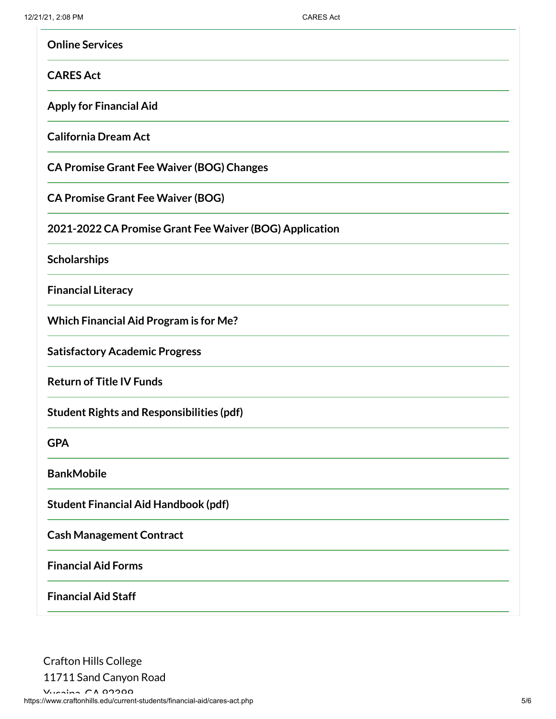| <b>Online Services</b>                                  |
|---------------------------------------------------------|
| <b>CARES Act</b>                                        |
| <b>Apply for Financial Aid</b>                          |
| <b>California Dream Act</b>                             |
| <b>CA Promise Grant Fee Waiver (BOG) Changes</b>        |
| <b>CA Promise Grant Fee Waiver (BOG)</b>                |
| 2021-2022 CA Promise Grant Fee Waiver (BOG) Application |
| Scholarships                                            |
| <b>Financial Literacy</b>                               |
| <b>Which Financial Aid Program is for Me?</b>           |
| <b>Satisfactory Academic Progress</b>                   |
| <b>Return of Title IV Funds</b>                         |
| <b>Student Rights and Responsibilities (pdf)</b>        |
| <b>GPA</b>                                              |
| <b>BankMobile</b>                                       |
| <b>Student Financial Aid Handbook (pdf)</b>             |
| <b>Cash Management Contract</b>                         |
| <b>Financial Aid Forms</b>                              |
| <b>Financial Aid Staff</b>                              |

Crafton Hills College 11711 Sand Canyon Road